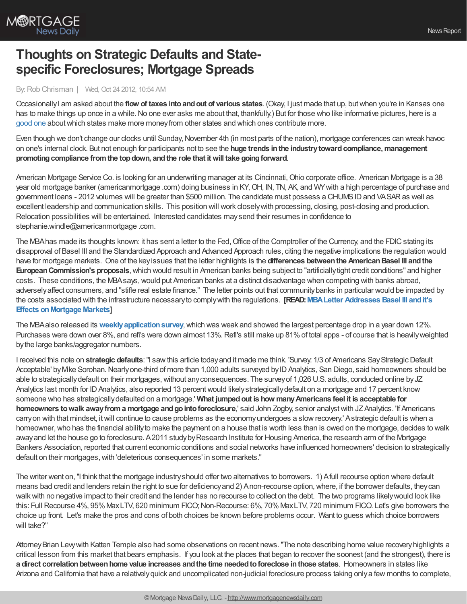

## **Thoughts on Strategic Defaults and Statespecific Foreclosures; Mortgage Spreads**

## By:Rob Chrisman | Wed, Oct 24 2012, 10:54 AM

OccasionallyI am asked about the **flow of taxes intoandout of various states**. (Okay, I just made that up, butwhen you're in Kansas one has to make things up once in a while. No one ever asks me about that, thankfully.) But for those who like informative pictures, here is a [good](http://www.economist.com/blogs/dailychart/2011/08/americas-fiscal-union) one about which states make more money from other states and which ones contribute more.

Even though we don't change our clocks until Sunday,November 4th (in most parts of the nation), mortgage conferences can wreak havoc on one's internal clock. But not enough for participants not to see the **huge trends inthe industrytowardcompliance,management promotingcompliance fromthe topdown, andthe role that itwill take goingforward**.

American Mortgage Service Co. is looking for an underwriting manager at its Cincinnati,Ohio corporate office. American Mortgage is a 38 year old mortgage banker (americanmortgage .com) doing business in KY,OH, IN, TN, AK, and WYwith a high percentage of purchase and government loans - 2012 volumes will be greater than \$500 million. The candidate must possess a CHUMS ID and VASAR as well as excellent leadership and communication skills. This position will work closelywith processing, closing, post-closing and production. Relocation possibilities will be entertained. Interested candidates maysend their resumes in confidence to stephanie.windle@americanmortgage .com.

The MBA has made its thoughts known: it has sent a letter to the Fed, Office of the Comptroller of the Currency, and the FDIC stating its disapproval of Basel III and the Standardized Approach and Advanced Approach rules, citing the negative implications the regulation would have for mortgage markets. One of the keyissues that the letter highlights is the **differences betweenthe AmericanBasel III andthe EuropeanCommission's proposals**,which would result in American banks being subject to "artificiallytight credit conditions" and higher costs. These conditions, the MBAsays,would put American banks at a distinct disadvantage when competing with banks abroad, adverselyaffect consumers, and "stifle real estate finance." The letter points out that communitybanks in particular would be impacted by the costs associated with the infrastructure necessaryto complywith the regulations. **[\[READ:MBALetter](http://www.mortgagenewsdaily.com/10182012_cap_requirements_basel_iii.asp) Addresses Basel III andit's Effects on Mortgage Markets]** 

The MBAalso released its **[weeklyapplicationsurvey](http://www.mortgagenewsdaily.com/10242012_application_volume.asp)**,which was weak and showed the largest percentage drop in a year down 12%. Purchases were down over 8%, and refi's were down almost 13%. Refi's still make up 81% of total apps - of course that is heavily weighted bythe large banks/aggregator numbers.

I received this note on strategic defaults: "I saw this article today and it made me think. 'Survey: 1/3 of Americans Say Strategic Default Acceptable' by Mike Sorohan. Nearly one-third of more than 1,000 adults surveyed by ID Analytics, San Diego, said homeowners should be able to strategically default on their mortgages, without any consequences. The survey of 1,026 U.S. adults, conducted online by JZ Analytics last month for ID Analytics, also reported 13 percent would likely strategically default on a mortgage and 17 percent know someone who has strategicallydefaulted on a mortgage.' **What jumpedout is how manyAmericans feel it is acceptable for homeowners towalk awayfroma mortgage andgointoforeclosure**,' said John Zogby, senior analystwith JZAnalytics. 'If Americans carryon with that mindset, itwill continue to cause problems as the economyundergoes a slowrecovery.' Astrategic default is when a homeowner, who has the financial ability to make the payment on a house that is worth less than is owed on the mortgage, decides to walk away and let the house go to foreclosure. A2011 study by Research Institute for Housing America, the research arm of the Mortgage Bankers Association, reported that current economic conditions and social networks have influenced homeowners' decision to strategically default on their mortgages, with 'deleterious consequences' in some markets."

The writer went on,"I think that the mortgage industryshould offer two alternatives to borrowers. 1) Afull recourse option where default means bad credit and lenders retain the right to sue for deficiency and 2) Anon-recourse option, where, if the borrower defaults, they can walk with no negative impact to their credit and the lender has no recourse to collect on the debt. The two programs likely would look like this: Full Recourse 4%, 95% MaxLTV, 620 minimum FICO; Non-Recourse: 6%, 70% MaxLTV, 720 minimum FICO. Let's give borrowers the choice up front. Let's make the pros and cons of both choices be known before problems occur. Want to guess which choice borrowers will take?"

Attorney Brian Levy with Katten Temple also had some observations on recent news. "The note describing home value recovery highlights a critical lesson from this market that bears emphasis. If you look at the places that began to recover the soonest (and the strongest), there is **a direct correlationbetweenhome value increases andthe time neededtoforeclose inthose states**. Homeowners in states like Arizona and California that have a relativelyquick and uncomplicated non-judicial foreclosure process taking onlya few months to complete,